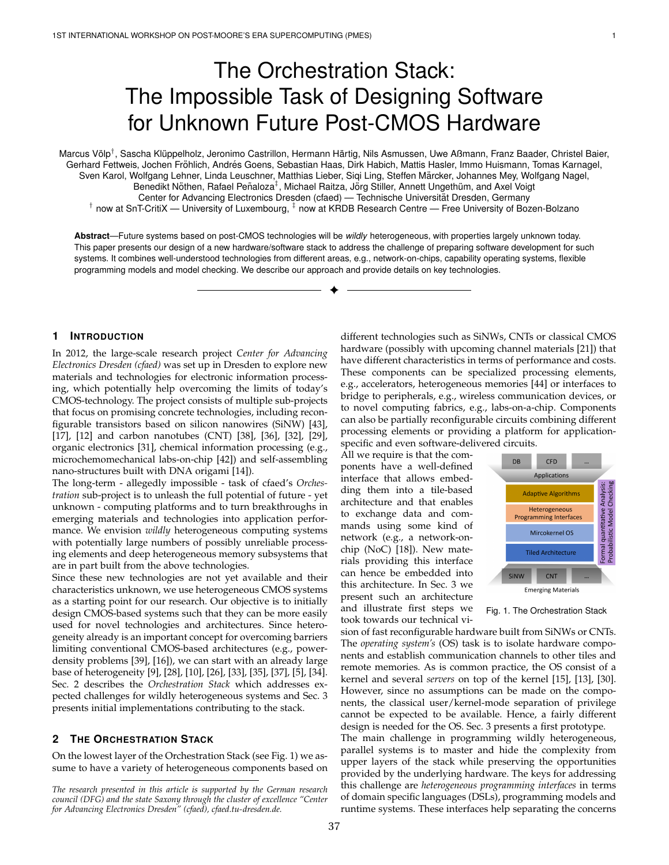# The Orchestration Stack: The Impossible Task of Designing Software for Unknown Future Post-CMOS Hardware

Marcus Völp<sup>⊺</sup>, Sascha Klüppelholz, Jeronimo Castrillon, Hermann Härtig, Nils Asmussen, Uwe Aßmann, Franz Baader, Christel Baier, Gerhard Fettweis, Jochen Fröhlich, Andrés Goens, Sebastian Haas, Dirk Habich, Mattis Hasler, Immo Huismann, Tomas Karnagel, Sven Karol, Wolfgang Lehner, Linda Leuschner, Matthias Lieber, Siqi Ling, Steffen Märcker, Johannes Mey, Wolfgang Nagel, Benedikt Nöthen, Rafael Peñaloza<sup>∓</sup>, Michael Raitza, Jörg Stiller, Annett Ungethüm, and Axel Voigt Center for Advancing Electronics Dresden (cfaed) — Technische Universitat Dresden, Germany ¨  $^\intercal$  now at SnT-CritiX — University of Luxembourg,  $^\intercal$  now at KRDB Research Centre — Free University of Bozen-Bolzano

**Abstract**—Future systems based on post-CMOS technologies will be *wildly* heterogeneous, with properties largely unknown today. This paper presents our design of a new hardware/software stack to address the challenge of preparing software development for such systems. It combines well-understood technologies from different areas, e.g., network-on-chips, capability operating systems, flexible programming models and model checking. We describe our approach and provide details on key technologies.

✦

## **1 INTRODUCTION**

In 2012, the large-scale research project *Center for Advancing Electronics Dresden (cfaed)* was set up in Dresden to explore new materials and technologies for electronic information processing, which potentially help overcoming the limits of today's CMOS-technology. The project consists of multiple sub-projects that focus on promising concrete technologies, including reconfigurable transistors based on silicon nanowires (SiNW) [43], [17], [12] and carbon nanotubes (CNT) [38], [36], [32], [29], organic electronics [31], chemical information processing (e.g., microchemomechanical labs-on-chip [42]) and self-assembling nano-structures built with DNA origami [14]).

The long-term - allegedly impossible - task of cfaed's *Orchestration* sub-project is to unleash the full potential of future - yet unknown - computing platforms and to turn breakthroughs in emerging materials and technologies into application performance. We envision *wildly* heterogeneous computing systems with potentially large numbers of possibly unreliable processing elements and deep heterogeneous memory subsystems that are in part built from the above technologies.

Since these new technologies are not yet available and their characteristics unknown, we use heterogeneous CMOS systems as a starting point for our research. Our objective is to initially design CMOS-based systems such that they can be more easily used for novel technologies and architectures. Since heterogeneity already is an important concept for overcoming barriers limiting conventional CMOS-based architectures (e.g., powerdensity problems [39], [16]), we can start with an already large base of heterogeneity [9], [28], [10], [26], [33], [35], [37], [5], [34]. Sec. 2 describes the *Orchestration Stack* which addresses expected challenges for wildly heterogeneous systems and Sec. 3 presents initial implementations contributing to the stack.

## **2 THE ORCHESTRATION STACK**

On the lowest layer of the Orchestration Stack (see Fig. 1) we assume to have a variety of heterogeneous components based on

different technologies such as SiNWs, CNTs or classical CMOS hardware (possibly with upcoming channel materials [21]) that have different characteristics in terms of performance and costs. These components can be specialized processing elements, e.g., accelerators, heterogeneous memories [44] or interfaces to bridge to peripherals, e.g., wireless communication devices, or to novel computing fabrics, e.g., labs-on-a-chip. Components can also be partially reconfigurable circuits combining different processing elements or providing a platform for applicationspecific and even software-delivered circuits.

All we require is that the components have a well-defined interface that allows embedding them into a tile-based architecture and that enables to exchange data and commands using some kind of network (e.g., a network-onchip (NoC) [18]). New materials providing this interface can hence be embedded into this architecture. In Sec. 3 we present such an architecture and illustrate first steps we took towards our technical vi-



Fig. 1. The Orchestration Stack

sion of fast reconfigurable hardware built from SiNWs or CNTs. The *operating system's* (OS) task is to isolate hardware components and establish communication channels to other tiles and remote memories. As is common practice, the OS consist of a kernel and several *servers* on top of the kernel [15], [13], [30]. However, since no assumptions can be made on the components, the classical user/kernel-mode separation of privilege cannot be expected to be available. Hence, a fairly different design is needed for the OS. Sec. 3 presents a first prototype. The main challenge in programming wildly heterogeneous,

parallel systems is to master and hide the complexity from upper layers of the stack while preserving the opportunities provided by the underlying hardware. The keys for addressing this challenge are *heterogeneous programming interfaces* in terms of domain specific languages (DSLs), programming models and runtime systems. These interfaces help separating the concerns

*The research presented in this article is supported by the German research council (DFG) and the state Saxony through the cluster of excellence "Center for Advancing Electronics Dresden" (cfaed), cfaed.tu-dresden.de.*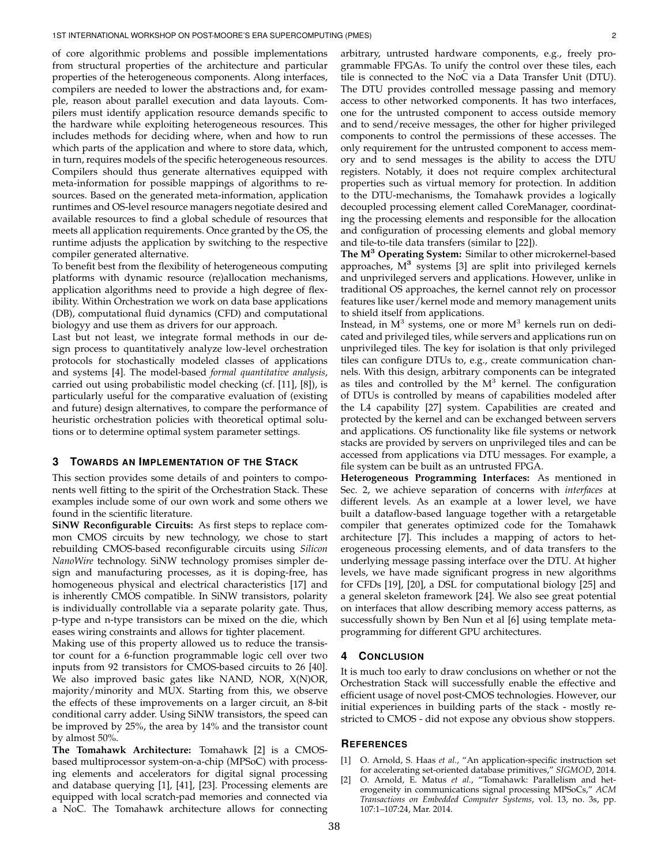of core algorithmic problems and possible implementations from structural properties of the architecture and particular properties of the heterogeneous components. Along interfaces, compilers are needed to lower the abstractions and, for example, reason about parallel execution and data layouts. Compilers must identify application resource demands specific to the hardware while exploiting heterogeneous resources. This includes methods for deciding where, when and how to run which parts of the application and where to store data, which, in turn, requires models of the specific heterogeneous resources. Compilers should thus generate alternatives equipped with meta-information for possible mappings of algorithms to resources. Based on the generated meta-information, application runtimes and OS-level resource managers negotiate desired and available resources to find a global schedule of resources that meets all application requirements. Once granted by the OS, the runtime adjusts the application by switching to the respective compiler generated alternative.

To benefit best from the flexibility of heterogeneous computing platforms with dynamic resource (re)allocation mechanisms, application algorithms need to provide a high degree of flexibility. Within Orchestration we work on data base applications (DB), computational fluid dynamics (CFD) and computational biologyy and use them as drivers for our approach.

Last but not least, we integrate formal methods in our design process to quantitatively analyze low-level orchestration protocols for stochastically modeled classes of applications and systems [4]. The model-based *formal quantitative analysis*, carried out using probabilistic model checking (cf. [11], [8]), is particularly useful for the comparative evaluation of (existing and future) design alternatives, to compare the performance of heuristic orchestration policies with theoretical optimal solutions or to determine optimal system parameter settings.

### **3 TOWARDS AN IMPLEMENTATION OF THE STACK**

This section provides some details of and pointers to components well fitting to the spirit of the Orchestration Stack. These examples include some of our own work and some others we found in the scientific literature.

**SiNW Reconfigurable Circuits:** As first steps to replace common CMOS circuits by new technology, we chose to start rebuilding CMOS-based reconfigurable circuits using *Silicon NanoWire* technology. SiNW technology promises simpler design and manufacturing processes, as it is doping-free, has homogeneous physical and electrical characteristics [17] and is inherently CMOS compatible. In SiNW transistors, polarity is individually controllable via a separate polarity gate. Thus, p-type and n-type transistors can be mixed on the die, which eases wiring constraints and allows for tighter placement.

Making use of this property allowed us to reduce the transistor count for a 6-function programmable logic cell over two inputs from 92 transistors for CMOS-based circuits to 26 [40]. We also improved basic gates like NAND, NOR, X(N)OR, majority/minority and MUX. Starting from this, we observe the effects of these improvements on a larger circuit, an 8-bit conditional carry adder. Using SiNW transistors, the speed can be improved by 25%, the area by 14% and the transistor count by almost 50%.

**The Tomahawk Architecture:** Tomahawk [2] is a CMOSbased multiprocessor system-on-a-chip (MPSoC) with processing elements and accelerators for digital signal processing and database querying [1], [41], [23]. Processing elements are equipped with local scratch-pad memories and connected via a NoC. The Tomahawk architecture allows for connecting arbitrary, untrusted hardware components, e.g., freely programmable FPGAs. To unify the control over these tiles, each tile is connected to the NoC via a Data Transfer Unit (DTU). The DTU provides controlled message passing and memory access to other networked components. It has two interfaces, one for the untrusted component to access outside memory and to send/receive messages, the other for higher privileged components to control the permissions of these accesses. The only requirement for the untrusted component to access memory and to send messages is the ability to access the DTU registers. Notably, it does not require complex architectural properties such as virtual memory for protection. In addition to the DTU-mechanisms, the Tomahawk provides a logically decoupled processing element called CoreManager, coordinating the processing elements and responsible for the allocation and configuration of processing elements and global memory and tile-to-tile data transfers (similar to [22]).

**The M**<sup>3</sup> **Operating System:** Similar to other microkernel-based approaches,  $M^3$  systems [3] are split into privileged kernels and unprivileged servers and applications. However, unlike in traditional OS approaches, the kernel cannot rely on processor features like user/kernel mode and memory management units to shield itself from applications.

Instead, in  $M^3$  systems, one or more  $M^3$  kernels run on dedicated and privileged tiles, while servers and applications run on unprivileged tiles. The key for isolation is that only privileged tiles can configure DTUs to, e.g., create communication channels. With this design, arbitrary components can be integrated as tiles and controlled by the  $M<sup>3</sup>$  kernel. The configuration of DTUs is controlled by means of capabilities modeled after the L4 capability [27] system. Capabilities are created and protected by the kernel and can be exchanged between servers and applications. OS functionality like file systems or network stacks are provided by servers on unprivileged tiles and can be accessed from applications via DTU messages. For example, a file system can be built as an untrusted FPGA.

**Heterogeneous Programming Interfaces:** As mentioned in Sec. 2, we achieve separation of concerns with *interfaces* at different levels. As an example at a lower level, we have built a dataflow-based language together with a retargetable compiler that generates optimized code for the Tomahawk architecture [7]. This includes a mapping of actors to heterogeneous processing elements, and of data transfers to the underlying message passing interface over the DTU. At higher levels, we have made significant progress in new algorithms for CFDs [19], [20], a DSL for computational biology [25] and a general skeleton framework [24]. We also see great potential on interfaces that allow describing memory access patterns, as successfully shown by Ben Nun et al [6] using template metaprogramming for different GPU architectures.

#### **4 CONCLUSION**

It is much too early to draw conclusions on whether or not the Orchestration Stack will successfully enable the effective and efficient usage of novel post-CMOS technologies. However, our initial experiences in building parts of the stack - mostly restricted to CMOS - did not expose any obvious show stoppers.

#### **REFERENCES**

- [1] O. Arnold, S. Haas *et al.*, "An application-specific instruction set for accelerating set-oriented database primitives," *SIGMOD*, 2014.
- [2] O. Arnold, E. Matus *et al.*, "Tomahawk: Parallelism and heterogeneity in communications signal processing MPSoCs," *ACM Transactions on Embedded Computer Systems*, vol. 13, no. 3s, pp. 107:1–107:24, Mar. 2014.